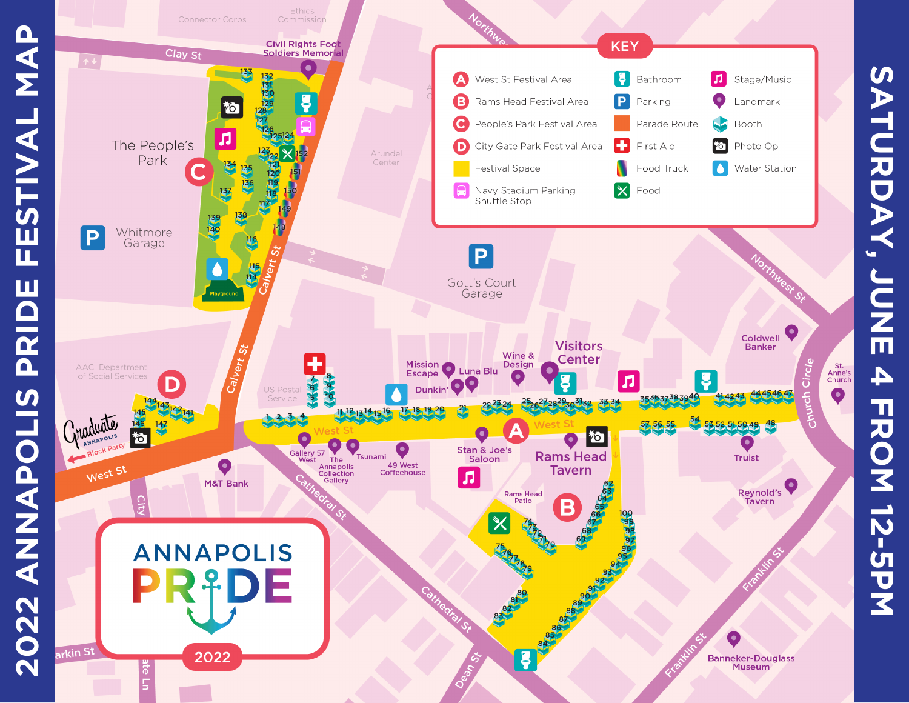



**SATURDAY,**

SATURDAY,

**JUNE**

**4**

**FROM**

**12-5PM**